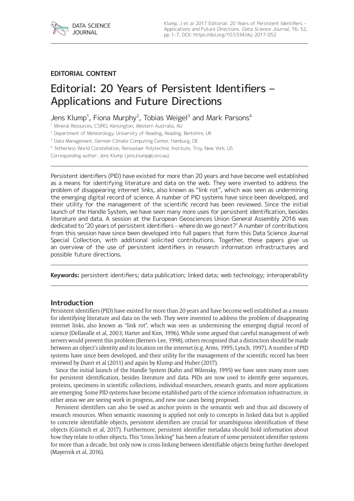

# **EDITORIAL CONTENT**

# Editorial: 20 Years of Persistent Identifiers – Applications and Future Directions

Jens Klump<sup>1</sup>, Fiona Murphy<sup>2</sup>, Tobias Weigel<sup>3</sup> and Mark Parsons<sup>4</sup>

<sup>1</sup> Mineral Resources, CSIRO, Kensington, Western Australia, AU

<sup>2</sup> Department of Meteorology, University of Reading, Reading, Berkshire, UK

<sup>3</sup> Data Management, German Climate Computing Center, Hamburg, DE

<sup>4</sup> Tetherless World Constellation, Rensselaer Polytechnic Institute, Troy, New York, US

Corresponding author: Jens Klump ([jens.klump@csiro.au](mailto:jens.klump@csiro.au))

Persistent identifiers (PID) have existed for more than 20 years and have become well established as a means for identifying literature and data on the web. They were invented to address the problem of disappearing internet links, also known as "link rot", which was seen as undermining the emerging digital record of science. A number of PID systems have since been developed, and their utility for the management of the scientific record has been reviewed. Since the initial launch of the Handle System, we have seen many more uses for persistent identification, besides literature and data. A session at the European Geosciences Union General Assembly 2016 was dedicated to '20 years of persistent identifiers – where do we go next?' A number of contributions from this session have since been developed into full papers that form this Data Science Journal Special Collection, with additional solicited contributions. Together, these papers give us an overview of the use of persistent identifiers in research information infrastructures and possible future directions.

**Keywords:** persistent identifiers; data publication; linked data; web technology; interoperability

## **Introduction**

Persistent identifiers (PID) have existed for more than 20 years and have become well established as a means for identifying literature and data on the web. They were invented to address the problem of disappearing internet links, also known as "link rot", which was seen as undermining the emerging digital record of science (Dellavalle et al, 2003; Harter and Kim, 1996). While some argued that careful management of web servers would prevent this problem (Berners-Lee, 1998), others recognised that a distinction should be made between an object's identity and its location on the internet (e.g. Arms, 1995; Lynch, 1997). A number of PID systems have since been developed, and their utility for the management of the scientific record has been reviewed by Duerr et al (2011) and again by Klump and Huber (2017).

Since the initial launch of the Handle System (Kahn and Wilensky, 1995) we have seen many more uses for persistent identification, besides literature and data. PIDs are now used to identify gene sequences, proteins, specimens in scientific collections, individual researchers, research grants, and more applications are emerging. Some PID systems have become established parts of the science information infrastructure, in other areas we are seeing work in progress, and new use cases being proposed.

Persistent identifiers can also be used as anchor points in the semantic web and thus aid discovery of research resources. When semantic reasoning is applied not only to concepts in linked data but is applied to concrete identifiable objects, persistent identifiers are crucial for unambiguous identification of these objects (Güntsch et al, 2017). Furthermore, persistent identifier metadata should hold information about how they relate to other objects. This "cross-linking" has been a feature of some persistent identifier systems for more than a decade, but only now is cross-linking between identifiable objects being further developed (Mayernik et al, 2016).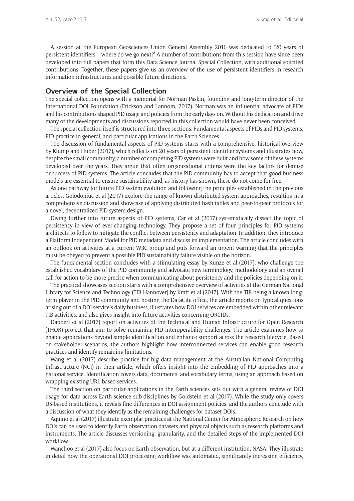A session at the European Geosciences Union General Assembly 2016 was dedicated to '20 years of persistent identifiers – where do we go next?' A number of contributions from this session have since been developed into full papers that form this Data Science Journal Special Collection, with additional solicited contributions. Together, these papers give us an overview of the use of persistent identifiers in research information infrastructures and possible future directions.

## **Overview of the Special Collection**

The special collection opens with a memorial for Norman Paskin, founding and long-term director of the International DOI Foundation (Erickson and Lannom, 2017). Norman was an influential advocate of PIDs and his contributions shaped PID usage and policies from the early days on. Without his dedication and drive many of the developments and discussions reported in this collection would have never been conceived.

The special collection itself is structured into three sections: Fundamental aspects of PIDs and PID systems, PID practice in general, and particular applications in the Earth Sciences.

The discussion of fundamental aspects of PID systems starts with a comprehensive, historical overview by Klump and Huber (2017), which reflects on 20 years of persistent identifier systems and illustrates how, despite the small community, a number of competing PID systems were built and how some of these systems developed over the years. They argue that often organizational criteria were the key factors for demise or success of PID systems. The article concludes that the PID community has to accept that good business models are essential to ensure sustainability and, as history has shown, these do not come for free.

As one pathway for future PID system evolution and following the principles established in the previous articles, Golodoniuc et al (2017) explore the range of known distributed system approaches, resulting in a comprehensive discussion and showcase of applying distributed hash tables and peer-to-peer protocols for a novel, decentralized PID system design.

Diving further into future aspects of PID systems, Car et al (2017) systematically dissect the topic of persistency in view of ever-changing technology. They propose a set of four principles for PID systems architects to follow to mitigate the conflict between persistency and adaptation. In addition, they introduce a Platform Independent Model for PID metadata and discuss its implementation. The article concludes with an outlook on activities at a current W3C group and puts forward an urgent warning that the principles must be obeyed to prevent a possible PID sustainability failure visible on the horizon.

The fundamental section concludes with a stimulating essay by Kunze et al (2017), who challenge the established vocabulary of the PID community and advocate new terminology, methodology and an overall call for action to be more precise when communicating about persistency and the policies depending on it.

The practical showcases section starts with a comprehensive overview of activities at the German National Library for Science and Technology (TIB Hannover) by Kraft et al (2017). With the TIB being a known longterm player in the PID community and hosting the DataCite office, the article reports on typical questions arising out of a DOI service's daily business, illustrates how DOI services are embedded within other relevant TIB activities, and also gives insight into future activities concerning ORCIDs.

Dappert et al (2017) report on activities of the Technical and Human Infrastructure for Open Research (THOR) project that aim to solve remaining PID interoperability challenges. The article examines how to enable applications beyond simple identification and enhance support across the research lifecycle. Based on stakeholder scenarios, the authors highlight how interconnected services can enable good research practices and identify remaining limitations.

Wang et al (2017) describe practice for big data management at the Australian National Computing Infrastructure (NCI) in their article, which offers insight into the embedding of PID approaches into a national service. Identification covers data, documents, and vocabulary terms, using an approach based on wrapping existing URL-based services.

The third section on particular applications in the Earth sciences sets out with a general review of DOI usage for data across Earth science sub-disciplines by Goldstein et al (2017). While the study only covers US-based institutions, it reveals fine differences in DOI assignment policies, and the authors conclude with a discussion of what they identify as the remaining challenges for dataset DOIs.

Aquino et al (2017) illustrate exemplar practices at the National Center for Atmospheric Research on how DOIs can be used to identify Earth observation datasets and physical objects such as research platforms and instruments. The article discusses versioning, granularity, and the detailed steps of the implemented DOI workflow.

Wanchoo et al (2017) also focus on Earth observation, but at a different institution, NASA. They illustrate in detail how the operational DOI processing workflow was automated, significantly increasing efficiency,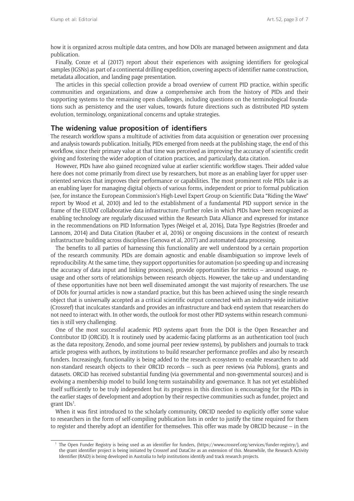how it is organized across multiple data centres, and how DOIs are managed between assignment and data publication.

Finally, Conze et al (2017) report about their experiences with assigning identifiers for geological samples (IGSNs) as part of a continental drilling expedition, covering aspects of identifier name construction, metadata allocation, and landing page presentation.

The articles in this special collection provide a broad overview of current PID practice, within specific communities and organizations, and draw a comprehensive arch from the history of PIDs and their supporting systems to the remaining open challenges, including questions on the terminological foundations such as persistency and the user values, towards future directions such as distributed PID system evolution, terminology, organizational concerns and uptake strategies.

#### **The widening value proposition of identifiers**

The research workflow spans a multitude of activities from data acquisition or generation over processing and analysis towards publication. Initially, PIDs emerged from needs at the publishing stage, the end of this workflow, since their primary value at that time was perceived as improving the accuracy of scientific credit giving and fostering the wider adoption of citation practices, and particularly, data citation.

However, PIDs have also gained recognized value at earlier scientific workflow stages. Their added value here does not come primarily from direct use by researchers, but more as an enabling layer for upper useroriented services that improves their performance or capabilities. The most prominent role PIDs take is as an enabling layer for managing digital objects of various forms, independent or prior to formal publication (see, for instance the European Commission's High-Level Expert Group on Scientific Data "Riding the Wave" report by Wood et al, 2010) and led to the establishment of a fundamental PID support service in the frame of the EUDAT collaborative data infrastructure. Further roles in which PIDs have been recognized as enabling technology are regularly discussed within the Research Data Alliance and expressed for instance in the recommendations on PID Information Types (Weigel et al, 2016), Data Type Registries (Broeder and Lannom, 2014) and Data Citation (Rauber et al, 2016) or ongoing discussions in the context of research infrastructure building across disciplines (Genova et al, 2017) and automated data processing.

The benefits to all parties of harnessing this functionality are well understood by a certain proportion of the research community. PIDs are domain agnostic and enable disambiguation so improve levels of reproducibility. At the same time, they support opportunities for automation (so speeding up and increasing the accuracy of data input and linking processes), provide opportunities for metrics – around usage, reusage and other sorts of relationships between research objects. However, the take-up and understanding of these opportunities have not been well disseminated amongst the vast majority of researchers. The use of DOIs for journal articles is now a standard practice, but this has been achieved using the single research object that is universally accepted as a critical scientific output connected with an industry-wide initiative (Crossref) that inculcates standards and provides an infrastructure and back-end system that researchers do not need to interact with. In other words, the outlook for most other PID systems within research communities is still very challenging.

One of the most successful academic PID systems apart from the DOI is the Open Researcher and Contributor ID (ORCiD). It is routinely used by academic-facing platforms as an authentication tool (such as the data repository, Zenodo, and some journal peer review systems), by publishers and journals to track article progress with authors, by institutions to build researcher performance profiles and also by research funders. Increasingly, functionality is being added to the research ecosystem to enable researchers to add non-standard research objects to their ORCID records – such as peer reviews (via Publons), grants and datasets. ORCiD has received substantial funding (via governmental and non-governmental sources) and is evolving a membership model to build long-term sustainability and governance. It has not yet established itself sufficiently to be truly independent but its progress in this direction is encouraging for the PIDs in the earlier stages of development and adoption by their respective communities such as funder, project and grant IDs<sup>1</sup>.

When it was first introduced to the scholarly community, ORCID needed to explicitly offer some value to researchers in the form of self-compiling publication lists in order to justify the time required for them to register and thereby adopt an identifier for themselves. This offer was made by ORCID because – in the

<sup>&</sup>lt;sup>1</sup> The Open Funder Registry is being used as an identifier for funders, ([https://www.crossref.org/services/funder-registry/\)](https://www.crossref.org/services/funder-registry/), and the grant identifier project is being initiated by Crossref and DataCite as an extension of this. Meanwhile, the Research Activity Identifier (RAiD) is being developed in Australia to help institutions identify and track research projects.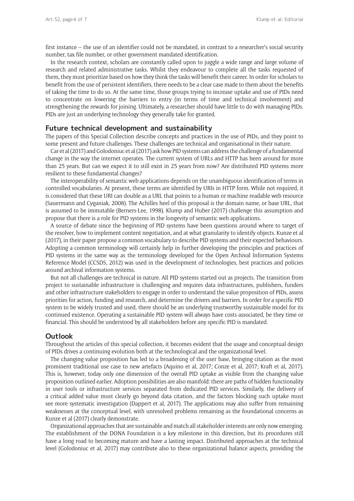first instance – the use of an identifier could not be mandated, in contrast to a researcher's social security number, tax file number, or other government mandated identification.

In the research context, scholars are constantly called upon to juggle a wide range and large volume of research and related administrative tasks. Whilst they endeavour to complete all the tasks requested of them, they must prioritize based on how they think the tasks will benefit their career. In order for scholars to benefit from the use of persistent identifiers, there needs to be a clear case made to them about the benefits of taking the time to do so. At the same time, those groups trying to increase uptake and use of PIDs need to concentrate on lowering the barriers to entry (in terms of time and technical involvement) and strengthening the rewards for joining. Ultimately, a researcher should have little to do with managing PIDs. PIDs are just an underlying technology they generally take for granted.

#### **Future technical development and sustainability**

The papers of this Special Collection describe concepts and practices in the use of PIDs, and they point to some present and future challenges. These challenges are technical and organisational in their nature.

Car et al (2017) and Golodoniuc et al (2017) ask how PID systems can address the challenge of a fundamental change in the way the internet operates. The current system of URLs and HTTP has been around for more than 25 years. But can we expect it to still exist in 25 years from now? Are distributed PID systems more resilient to these fundamental changes?

The interoperability of semantic web applications depends on the unambiguous identification of terms in controlled vocabularies. At present, these terms are identified by URIs in HTTP form. While not required, it is considered that these URI can double as a URL that points to a human or machine readable web resource (Sauermann and Cyganiak, 2008). The Achilles heel of this proposal is the domain name, or base URL, that is assumed to be immutable (Berners-Lee, 1998). Klump and Huber (2017) challenge this assumption and propose that there is a role for PID systems in the longevity of semantic web applications.

A source of debate since the beginning of PID systems have been questions around where to target of the resolver, how to implement content negotiation, and at what granularity to identify objects. Kunze et al (2017), in their paper propose a common vocabulary to describe PID systems and their expected behaviours. Adopting a common terminology will certainly help in further developing the principles and practices of PID systems in the same way as the terminology developed for the Open Archival Information Systems Reference Model (CCSDS, 2012) was used in the development of technologies, best practices and policies around archival information systems.

But not all challenges are technical in nature. All PID systems started out as projects. The transition from project to sustainable infrastructure is challenging and requires data infrastructures, publishers, funders and other infrastructure stakeholders to engage in order to understand the value proposition of PIDs, assess priorities for action, funding and research, and determine the drivers and barriers. In order for a specific PID system to be widely trusted and used, there should be an underlying trustworthy sustainable model for its continued existence. Operating a sustainable PID system will always have costs associated, be they time or financial. This should be understood by all stakeholders before any specific PID is mandated.

#### **Outlook**

Throughout the articles of this special collection, it becomes evident that the usage and conceptual design of PIDs drives a continuing evolution both at the technological and the organizational level.

The changing value proposition has led to a broadening of the user base, bringing citation as the most prominent traditional use case to new artefacts (Aquino et al, 2017; Conze et al, 2017; Kraft et al, 2017). This is, however, today only one dimension of the overall PID uptake as visible from the changing value proposition outlined earlier. Adoption possibilities are also manifold: there are paths of hidden functionality in user tools or infrastructure services separated from dedicated PID services. Similarly, the delivery of a critical added value must clearly go beyond data citation, and the factors blocking such uptake must see more systematic investigation (Dappert et al, 2017). The applications may also suffer from remaining weaknesses at the conceptual level, with unresolved problems remaining as the foundational concerns as Kunze et al (2017) clearly demonstrate.

Organizational approaches that are sustainable and match all stakeholder interests are only now emerging. The establishment of the DONA Foundation is a key milestone in this direction, but its procedures still have a long road to becoming mature and have a lasting impact. Distributed approaches at the technical level (Golodoniuc et al, 2017) may contribute also to these organizational balance aspects, providing the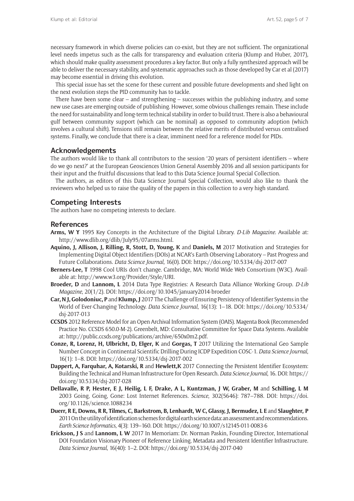necessary framework in which diverse policies can co-exist, but they are not sufficient. The organizational level needs impetus such as the calls for transparency and evaluation criteria (Klump and Huber, 2017), which should make quality assessment procedures a key factor. But only a fully synthesized approach will be able to deliver the necessary stability, and systematic approaches such as those developed by Car et al (2017) may become essential in driving this evolution.

This special issue has set the scene for these current and possible future developments and shed light on the next evolution steps the PID community has to tackle.

There have been some clear – and strengthening – successes within the publishing industry, and some new use cases are emerging outside of publishing. However, some obvious challenges remain. These include the need for sustainability and long-term technical stability in order to build trust. There is also a behavioural gulf between community support (which can be nominal) as opposed to community adoption (which involves a cultural shift). Tensions still remain between the relative merits of distributed versus centralised systems. Finally, we conclude that there is a clear, imminent need for a reference model for PIDs.

## **Acknowledgements**

The authors would like to thank all contributors to the session '20 years of persistent identifiers – where do we go next?' at the European Geosciences Union General Assembly 2016 and all session participants for their input and the fruitful discussions that lead to this Data Science Journal Special Collection.

The authors, as editors of this Data Science Journal Special Collection, would also like to thank the reviewers who helped us to raise the quality of the papers in this collection to a very high standard.

## **Competing Interests**

The authors have no competing interests to declare.

#### **References**

- **Arms, W Y** 1995 Key Concepts in the Architecture of the Digital Library. *D-Lib Magazine*. Available at: [http://www.dlib.org/dlib/July95/07arms.html.](http://www.dlib.org/dlib/July95/07arms.html)
- **Aquino, J, Allison, J, Rilling, R, Stott, D, Young, K** and **Daniels, M** 2017 Motivation and Strategies for Implementing Digital Object Identifiers (DOIs) at NCAR's Earth Observing Laboratory – Past Progress and Future Collaborations. *Data Science Journal*, 16(0). DOI: <https://doi.org/10.5334/dsj-2017-007>
- **Berners-Lee, T** 1998 Cool URIs don't change. Cambridge, MA: World Wide Web Consortium (W3C). Available at: [http://www.w3.org/Provider/Style/URI.](http://www.w3.org/Provider/Style/URI)
- **Broeder, D** and **Lannom, L** 2014 Data Type Registries: A Research Data Alliance Working Group. *D-Lib Magazine*, 20(1/2). DOI: <https://doi.org/10.1045/january2014-broeder>
- **Car, N J, Golodoniuc, P** and **Klump, J** 2017 The Challenge of Ensuring Persistency of Identifier Systems in the World of Ever-Changing Technology. *Data Science Journal*, 16(13): 1–18. DOI: [https://doi.org/10.5334/](https://doi.org/10.5334/dsj-2017-013) [dsj-2017-013](https://doi.org/10.5334/dsj-2017-013)
- **CCSDS** 2012 Reference Model for an Open Archival Information System (OAIS). Magenta Book (Recommended Practice No. CCSDS 650.0-M-2). Greenbelt, MD: Consultative Committee for Space Data Systems. Available at: [http://public.ccsds.org/publications/archive/650x0m2.pdf.](http://public.ccsds.org/publications/archive/650x0m2.pdf)
- **Conze, R, Lorenz, H, Ulbricht, D, Elger, K** and **Gorgas, T** 2017 Utilizing the International Geo Sample Number Concept in Continental Scientific Drilling During ICDP Expedition COSC-1. *Data Science Journal*, 16(1): 1–8. DOI: <https://doi.org/10.5334/dsj-2017-002>
- **Dappert, A, Farquhar, A, Kotarski, R** and **Hewlett,K** 2017 Connecting the Persistent Identifier Ecosystem: Building the Technical and Human Infrastructure for Open Research. *Data Science Journal*, 16. DOI: [https://](https://doi.org/10.5334/dsj-2017-028) [doi.org/10.5334/dsj-2017-028](https://doi.org/10.5334/dsj-2017-028)
- **Dellavalle, R P, Hester, E J, Heilig, L F, Drake, A L, Kuntzman, J W, Graber, M** and **Schilling, L M** 2003 Going, Going, Gone: Lost Internet References. *Science*, 302(5646): 787–788. DOI: [https://doi.](https://doi.org/10.1126/science.1088234) [org/10.1126/science.1088234](https://doi.org/10.1126/science.1088234)
- **Duerr, R E, Downs, R R, Tilmes, C, Barkstrom, B, Lenhardt, W C, Glassy, J, Bermudez, L E** and **Slaughter, P** 2011 On the utility of identification schemes for digital earth science data: an assessment and recommendations. *Earth Science Informatics*, 4(3): 139–160. DOI:<https://doi.org/10.1007/s12145-011-0083-6>
- **Erickson, J S** and **Lannom, L W** 2017 In Memoriam: Dr. Norman Paskin, Founding Director, International DOI Foundation Visionary Pioneer of Reference Linking, Metadata and Persistent Identifier Infrastructure. *Data Science Journal*, 16(40): 1–2. DOI:<https://doi.org/10.5334/dsj-2017-040>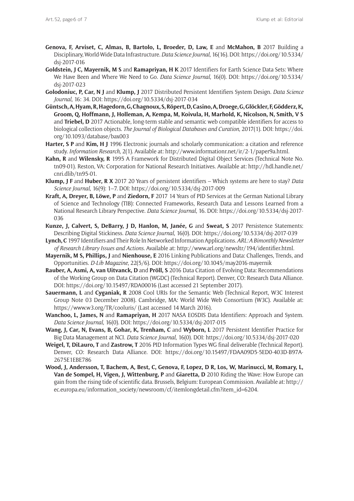- **Genova, F, Arviset, C, Almas, B, Bartolo, L, Broeder, D, Law, E** and **McMahon, B** 2017 Building a Disciplinary, World-Wide Data Infrastructure. *Data Science Journal*, 16(16). DOI: [https://doi.org/10.5334/](https://doi.org/10.5334/dsj-2017-016) [dsj-2017-016](https://doi.org/10.5334/dsj-2017-016)
- **Goldstein, J C, Mayernik, M S** and **Ramapriyan, H K** 2017 Identifiers for Earth Science Data Sets: Where We Have Been and Where We Need to Go. *Data Science Journal*, 16(0). DOI: [https://doi.org/10.5334/](https://doi.org/10.5334/dsj-2017-023) [dsj-2017-023](https://doi.org/10.5334/dsj-2017-023)
- **Golodoniuc, P, Car, N J** and **Klump, J** 2017 Distributed Persistent Identifiers System Design. *Data Science Journal*, 16: 34. DOI: <https://doi.org/10.5334/dsj-2017-034>
- **Güntsch, A, Hyam, R, Hagedorn, G, Chagnoux, S, Röpert, D, Casino, A, Droege, G, Glöckler, F, Gödderz, K, Groom, Q, Hoffmann, J, Holleman, A, Kempa, M, Koivula, H, Marhold, K, Nicolson, N, Smith, V S** and **Triebel, D** 2017 Actionable, long-term stable and semantic web compatible identifiers for access to biological collection objects. *The Journal of Biological Databases and Curation*, 2017(1). DOI: [https://doi.](https://doi.org/10.1093/database/bax003) [org/10.1093/database/bax003](https://doi.org/10.1093/database/bax003)
- **Harter, S P** and **Kim, H J** 1996 Electronic journals and scholarly communication: a citation and reference study. *Information Research*, 2(1). Available at: [http://www.informationr.net/ir/2-1/paper9a.html.](http://www.informationr.net/ir/2-1/paper9a.html)
- **Kahn, R** and **Wilensky, R** 1995 A Framework for Distributed Digital Object Services (Technical Note No. tn09-01). Reston, VA: Corporation for National Research Initiatives. Available at: [http://hdl.handle.net/](http://hdl.handle.net/cnri.dlib/tn95-01) [cnri.dlib/tn95-01.](http://hdl.handle.net/cnri.dlib/tn95-01)
- **Klump, J F** and **Huber, R X** 2017 20 Years of persistent identifiers Which systems are here to stay? *Data Science Journal*, 16(9): 1–7. DOI:<https://doi.org/10.5334/dsj-2017-009>
- **Kraft, A, Dreyer, B, Löwe, P** and **Ziedorn, F** 2017 14 Years of PID Services at the German National Library of Science and Technology (TIB): Connected Frameworks, Research Data and Lessons Learned from a National Research Library Perspective. *Data Science Journal*, 16. DOI: [https://doi.org/10.5334/dsj-2017-](https://doi.org/10.5334/dsj-2017-036) [036](https://doi.org/10.5334/dsj-2017-036)
- **Kunze, J, Calvert, S, DeBarry, J D, Hanlon, M, Janée, G** and **Sweat, S** 2017 Persistence Statements: Describing Digital Stickiness. *Data Science Journal*, 16(0). DOI:<https://doi.org/10.5334/dsj-2017-039>
- **Lynch,C** 1997 Identifiers and Their Role In Networked Information Applications. *ARL: A Bimonthly Newsletter of Research Library Issues and Actions*. Available at: <http://www.arl.org/newsltr/194/identifier.html>.
- **Mayernik, M S, Phillips, J** and **Nienhouse, E** 2016 Linking Publications and Data: Challenges, Trends, and Opportunities. *D-Lib Magazine*, 22(5/6). DOI: <https://doi.org/10.1045/may2016-mayernik>
- **Rauber, A, Asmi, A, van Uitvanck, D** and **Pröll, S** 2016 Data Citation of Evolving Data: Recommendations of the Working Group on Data Citation (WGDC) (Technical Report). Denver, CO: Research Data Alliance. DOI:<https://doi.org/10.15497/RDA00016> (Last accessed 21 September 2017).
- **Sauermann, L** and **Cyganiak, R** 2008 Cool URIs for the Semantic Web (Technical Report, W3C Interest Group Note 03 December 2008). Cambridge, MA: World Wide Web Consortium (W3C). Available at: <https://www.w3.org/TR/cooluris/>(Last accessed 14 March 2016).
- **Wanchoo, L, James, N** and **Ramapriyan, H** 2017 NASA EOSDIS Data Identifiers: Approach and System. *Data Science Journal*, 16(0). DOI: <https://doi.org/10.5334/dsj-2017-015>
- **Wang, J, Car, N, Evans, B, Gohar, K, Trenham, C** and **Wyborn, L** 2017 Persistent Identifier Practice for Big Data Management at NCI. *Data Science Journal*, 16(0). DOI:<https://doi.org/10.5334/dsj-2017-020>
- **Weigel, T, DiLauro, T** and **Zastrow, T** 2016 PID Information Types WG final deliverable (Technical Report). Denver, CO: Research Data Alliance. DOI: [https://doi.org/10.15497/FDAA09D5-5ED0-403D-B97A-](https://doi.org/10.15497/FDAA09D5-5ED0-403D-B97A-2675E1EBE786)[2675E1EBE786](https://doi.org/10.15497/FDAA09D5-5ED0-403D-B97A-2675E1EBE786)
- **Wood, J, Andersson, T, Bachem, A, Best, C, Genova, F, Lopez, D R, Los, W, Marinucci, M, Romary, L, Van de Sompel, H, Vigen, J, Wittenburg, P** and **Giaretta, D** 2010 Riding the Wave: How Europe can gain from the rising tide of scientific data. Brussels, Belgium: European Commission. Available at: [http://](http://ec.europa.eu/information_society/newsroom/cf/itemlongdetail.cfm?item_id=6204) [ec.europa.eu/information\\_society/newsroom/cf/itemlongdetail.cfm?item\\_id=6204.](http://ec.europa.eu/information_society/newsroom/cf/itemlongdetail.cfm?item_id=6204)